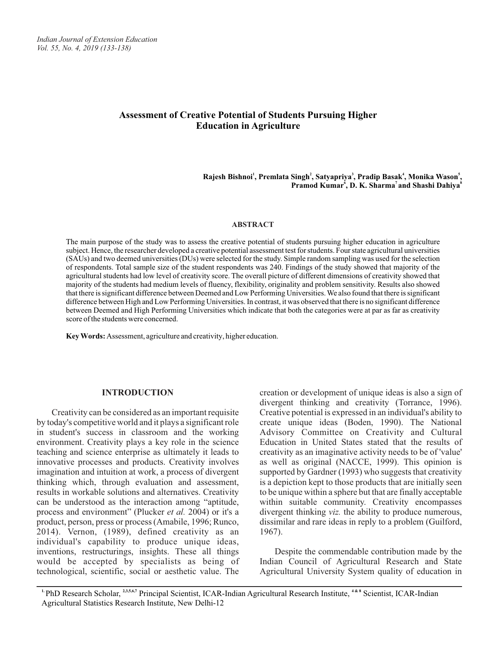*Indian Journal of Extension Education Vol. 55, No. 4, 2019 (133-138)*

# **Assessment of Creative Potential of Students Pursuing Higher Education in Agriculture**

**<sup>1</sup> <sup>2</sup> <sup>3</sup> <sup>4</sup> <sup>5</sup> Rajesh Bishnoi , Premlata Singh , Satyapriya , Pradip Basak , Monika Wason , 6 7 8 Pramod Kumar , D. K. Sharma and Shashi Dahiya**

#### **ABSTRACT**

The main purpose of the study was to assess the creative potential of students pursuing higher education in agriculture subject. Hence, the researcher developed a creative potential assessment test for students. Four state agricultural universities (SAUs) and two deemed universities (DUs) were selected for the study. Simple random sampling was used for the selection of respondents. Total sample size of the student respondents was 240. Findings of the study showed that majority of the agricultural students had low level of creativity score. The overall picture of different dimensions of creativity showed that majority of the students had medium levels of fluency, flexibility, originality and problem sensitivity. Results also showed that there is significant difference between Deemed and Low Performing Universities. We also found that there is significant difference between High and Low Performing Universities. In contrast, it was observed that there is no significant difference between Deemed and High Performing Universities which indicate that both the categories were at par as far as creativity score of the students were concerned.

**Key Words:** Assessment, agriculture and creativity, higher education.

#### **INTRODUCTION**

Creativity can be considered as an important requisite by today's competitive world and it plays a significant role in student's success in classroom and the working environment. Creativity plays a key role in the science teaching and science enterprise as ultimately it leads to innovative processes and products. Creativity involves imagination and intuition at work, a process of divergent thinking which, through evaluation and assessment, results in workable solutions and alternatives. Creativity can be understood as the interaction among "aptitude, process and environment" (Plucker *et al.* 2004) or it's a product, person, press or process (Amabile, 1996; Runco, 2014). Vernon, (1989), defined creativity as an individual's capability to produce unique ideas, inventions, restructurings, insights. These all things would be accepted by specialists as being of technological, scientific, social or aesthetic value. The

creation or development of unique ideas is also a sign of divergent thinking and creativity (Torrance, 1996). Creative potential is expressed in an individual's ability to create unique ideas (Boden, 1990). The National Advisory Committee on Creativity and Cultural Education in United States stated that the results of creativity as an imaginative activity needs to be of 'value' as well as original (NACCE, 1999). This opinion is supported by Gardner (1993) who suggests that creativity is a depiction kept to those products that are initially seen to be unique within a sphere but that are finally acceptable within suitable community. Creativity encompasses divergent thinking *viz.* the ability to produce numerous, dissimilar and rare ideas in reply to a problem (Guilford, 1967).

Despite the commendable contribution made by the Indian Council of Agricultural Research and State Agricultural University System quality of education in

<sup>1.</sup> PhD Research Scholar, <sup>2,3,5,6,7</sup> Principal Scientist, ICAR-Indian Agricultural Research Institute, <sup>4 & 8</sup> Scientist, ICAR-Indian Agricultural Statistics Research Institute, New Delhi-12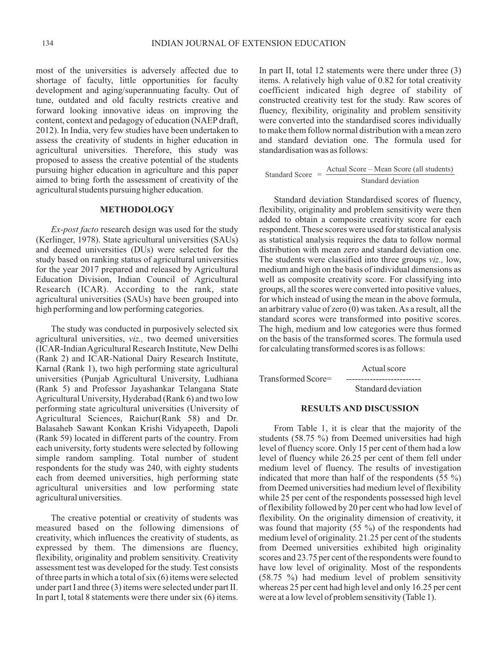most of the universities is adversely affected due to shortage of faculty, little opportunities for faculty development and aging/superannuating faculty. Out of tune, outdated and old faculty restricts creative and forward looking innovative ideas on improving the content, context and pedagogy of education (NAEP draft, 2012). In India, very few studies have been undertaken to assess the creativity of students in higher education in agricultural universities. Therefore, this study was proposed to assess the creative potential of the students pursuing higher education in agriculture and this paper aimed to bring forth the assessment of creativity of the agricultural students pursuing higher education.

#### **METHODOLOGY**

*Ex-post facto* research design was used for the study (Kerlinger, 1978). State agricultural universities (SAUs) and deemed universities (DUs) were selected for the study based on ranking status of agricultural universities for the year 2017 prepared and released by Agricultural Education Division, Indian Council of Agricultural Research (ICAR). According to the rank, state agricultural universities (SAUs) have been grouped into high performing and low performing categories.

The study was conducted in purposively selected six agricultural universities, *viz.,* two deemed universities (ICAR-Indian Agricultural Research Institute, New Delhi (Rank 2) and ICAR-National Dairy Research Institute, Karnal (Rank 1), two high performing state agricultural universities (Punjab Agricultural University, Ludhiana (Rank 5) and Professor Jayashankar Telangana State Agricultural University, Hyderabad (Rank 6) and two low performing state agricultural universities (University of Agricultural Sciences, Raichur(Rank 58) and Dr. Balasaheb Sawant Konkan Krishi Vidyapeeth, Dapoli (Rank 59) located in different parts of the country. From each university, forty students were selected by following simple random sampling. Total number of student respondents for the study was 240, with eighty students each from deemed universities, high performing state agricultural universities and low performing state agricultural universities.

The creative potential or creativity of students was measured based on the following dimensions of creativity, which influences the creativity of students, as expressed by them. The dimensions are fluency, flexibility, originality and problem sensitivity. Creativity assessment test was developed for the study. Test consists of three parts in which a total of six (6) items were selected under part I and three (3) items were selected under part II. In part I, total 8 statements were there under six (6) items.

In part II, total 12 statements were there under three (3) items. A relatively high value of 0.82 for total creativity coefficient indicated high degree of stability of constructed creativity test for the study. Raw scores of fluency, flexibility, originality and problem sensitivity were converted into the standardised scores individually to make them follow normal distribution with a mean zero and standard deviation one. The formula used for standardisation was as follows:

Standard Score = 
$$
\frac{\text{Actual Score} - \text{Mean Score (all students)}}{\text{Standard deviation}}
$$

Standard deviation Standardised scores of fluency, flexibility, originality and problem sensitivity were then added to obtain a composite creativity score for each respondent. These scores were used for statistical analysis as statistical analysis requires the data to follow normal distribution with mean zero and standard deviation one. The students were classified into three groups *viz.,* low, medium and high on the basis of individual dimensions as well as composite creativity score. For classifying into groups, all the scores were converted into positive values, for which instead of using the mean in the above formula, an arbitrary value of zero (0) was taken. As a result, all the standard scores were transformed into positive scores. The high, medium and low categories were thus formed on the basis of the transformed scores. The formula used for calculating transformed scores is as follows:

Actual score Transformed Score= ------------------------- Standard deviation

## **RESULTS AND DISCUSSION**

From Table 1, it is clear that the majority of the students (58.75 %) from Deemed universities had high level of fluency score. Only 15 per cent of them had a low level of fluency while 26.25 per cent of them fell under medium level of fluency. The results of investigation indicated that more than half of the respondents  $(55 \%)$ from Deemed universities had medium level of flexibility while 25 per cent of the respondents possessed high level of flexibility followed by 20 per cent who had low level of flexibility. On the originality dimension of creativity, it was found that majority  $(55 \%)$  of the respondents had medium level of originality. 21.25 per cent of the students from Deemed universities exhibited high originality scores and 23.75 per cent of the respondents were found to have low level of originality. Most of the respondents (58.75 %) had medium level of problem sensitivity whereas 25 per cent had high level and only 16.25 per cent were at a low level of problem sensitivity (Table 1).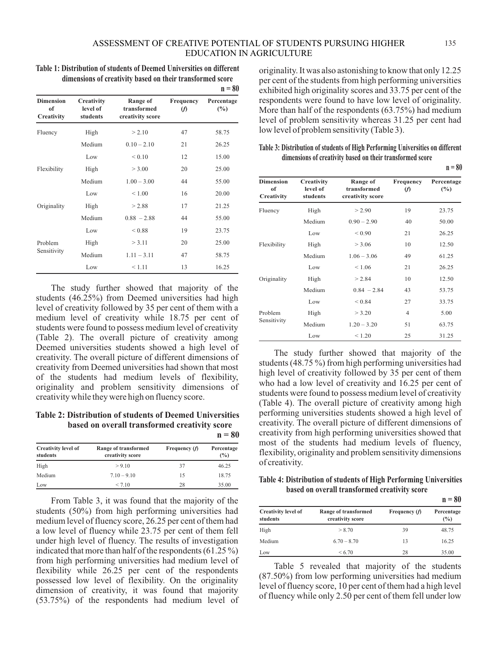# ASSESSMENT OF CREATIVE POTENTIAL OF STUDENTS PURSUING HIGHER EDUCATION IN AGRICULTURE

**Table 1: Distribution of students of Deemed Universities on different dimensions of creativity based on their transformed score**

|                                      |                                    |                                             |                       | $n = 80$          |
|--------------------------------------|------------------------------------|---------------------------------------------|-----------------------|-------------------|
| <b>Dimension</b><br>of<br>Creativity | Creativity<br>level of<br>students | Range of<br>transformed<br>creativity score | Frequency<br>$\omega$ | Percentage<br>(%) |
| Fluency                              | High                               | > 2.10                                      | 47                    | 58.75             |
|                                      | Medium                             | $0.10 - 2.10$                               | 21                    | 26.25             |
|                                      | Low                                | ${}_{0.10}$                                 | 12                    | 15.00             |
| Flexibility                          | High                               | > 3.00                                      | 20                    | 25.00             |
|                                      | Medium                             | $1.00 - 3.00$                               | 44                    | 55.00             |
|                                      | Low                                | ${}_{\leq 1.00}$                            | 16                    | 20.00             |
| Originality                          | High                               | > 2.88                                      | 17                    | 21.25             |
|                                      | Medium                             | $0.88 - 2.88$                               | 44                    | 55.00             |
|                                      | Low                                | ${}_{0.88}$                                 | 19                    | 23.75             |
| Problem<br>Sensitivity               | High                               | $>$ 3.11                                    | 20                    | 25.00             |
|                                      | Medium                             | $1.11 - 3.11$                               | 47                    | 58.75             |
|                                      | Low                                | < 1.11                                      | 13                    | 16.25             |

The study further showed that majority of the students (46.25%) from Deemed universities had high level of creativity followed by 35 per cent of them with a medium level of creativity while 18.75 per cent of students were found to possess medium level of creativity (Table 2). The overall picture of creativity among Deemed universities students showed a high level of creativity. The overall picture of different dimensions of creativity from Deemed universities had shown that most of the students had medium levels of flexibility, originality and problem sensitivity dimensions of creativity while they were high on fluency score.

**Table 2: Distribution of students of Deemed Universities based on overall transformed creativity score**  $n = 80$ 

| <b>Creativity level of</b><br>students | Range of transformed<br>creativity score | Frequency $(f)$ | Percentage<br>(%) |
|----------------------------------------|------------------------------------------|-----------------|-------------------|
| High                                   | > 9.10                                   | 37              | 46.25             |
| Medium                                 | $7.10 - 9.10$                            | 15              | 18.75             |
| Low                                    | < 7.10                                   | 28              | 35.00             |

From Table 3, it was found that the majority of the students (50%) from high performing universities had medium level of fluency score, 26.25 per cent of them had a low level of fluency while 23.75 per cent of them fell under high level of fluency. The results of investigation indicated that more than half of the respondents  $(61.25\%)$ from high performing universities had medium level of flexibility while 26.25 per cent of the respondents possessed low level of flexibility. On the originality dimension of creativity, it was found that majority (53.75%) of the respondents had medium level of originality. It was also astonishing to know that only 12.25 per cent of the students from high performing universities exhibited high originality scores and 33.75 per cent of the respondents were found to have low level of originality. More than half of the respondents (63.75%) had medium level of problem sensitivity whereas 31.25 per cent had low level of problem sensitivity (Table 3).

**Table 3: Distribution of students of High Performing Universities on different dimensions of creativity based on their transformed score**

|                                             |                                    |                                             |                              | $n = 80$                    |
|---------------------------------------------|------------------------------------|---------------------------------------------|------------------------------|-----------------------------|
| <b>Dimension</b><br>of<br><b>Creativity</b> | Creativity<br>level of<br>students | Range of<br>transformed<br>creativity score | <b>Frequency</b><br>$\omega$ | Percentage<br>$\frac{6}{2}$ |
| Fluency                                     | High                               | > 2.90                                      | 19                           | 23.75                       |
|                                             | Medium                             | $0.90 - 2.90$                               | 40                           | 50.00                       |
|                                             | Low                                | ${}_{< 0.90}$                               | 21                           | 26.25                       |
| Flexibility                                 | High                               | > 3.06                                      | 10                           | 12.50                       |
|                                             | Medium                             | $1.06 - 3.06$                               | 49                           | 61.25                       |
|                                             | Low                                | < 1.06                                      | 21                           | 26.25                       |
| Originality                                 | High                               | > 2.84                                      | 10                           | 12.50                       |
|                                             | Medium                             | $0.84 - 2.84$                               | 43                           | 53.75                       |
|                                             | Low                                | ${}_{0.84}$                                 | 27                           | 33.75                       |
| Problem<br>Sensitivity                      | High                               | > 3.20                                      | 4                            | 5.00                        |
|                                             | Medium                             | $1.20 - 3.20$                               | 51                           | 63.75                       |
|                                             | Low                                | < 1.20                                      | 25                           | 31.25                       |

The study further showed that majority of the students (48.75 %) from high performing universities had high level of creativity followed by 35 per cent of them who had a low level of creativity and 16.25 per cent of students were found to possess medium level of creativity (Table 4). The overall picture of creativity among high performing universities students showed a high level of creativity. The overall picture of different dimensions of creativity from high performing universities showed that most of the students had medium levels of fluency, flexibility, originality and problem sensitivity dimensions of creativity.

**Table 4: Distribution of students of High Performing Universities based on overall transformed creativity score**

|                                        |                                          |                 | $n = 80$          |
|----------------------------------------|------------------------------------------|-----------------|-------------------|
| <b>Creativity level of</b><br>students | Range of transformed<br>creativity score | Frequency $(f)$ | Percentage<br>(%) |
| High                                   | > 8.70                                   | 39              | 48.75             |
| Medium                                 | $6.70 - 8.70$                            | 13              | 16.25             |
| Low                                    | < 6.70                                   | 28              | 35.00             |

Table 5 revealed that majority of the students (87.50%) from low performing universities had medium level of fluency score, 10 per cent of them had a high level of fluency while only 2.50 per cent of them fell under low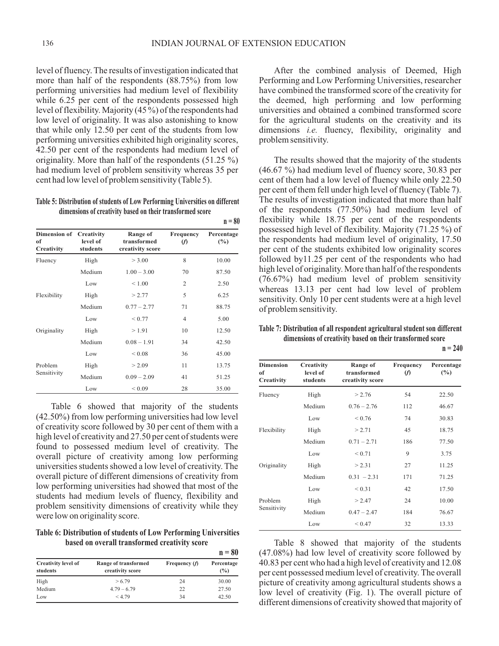level of fluency. The results of investigation indicated that more than half of the respondents (88.75%) from low performing universities had medium level of flexibility while 6.25 per cent of the respondents possessed high level of flexibility. Majority (45 %) of the respondents had low level of originality. It was also astonishing to know that while only 12.50 per cent of the students from low performing universities exhibited high originality scores, 42.50 per cent of the respondents had medium level of originality. More than half of the respondents (51.25 %) had medium level of problem sensitivity whereas 35 per cent had low level of problem sensitivity (Table 5).

# **Table 5: Distribution of students of Low Performing Universities on different dimensions of creativity based on their transformed score**

|                                             |                      |                                             |                       | $n = 80$                    |
|---------------------------------------------|----------------------|---------------------------------------------|-----------------------|-----------------------------|
| Dimension of Creativity<br>of<br>Creativity | level of<br>students | Range of<br>transformed<br>creativity score | Frequency<br>$\omega$ | Percentage<br>$\frac{6}{2}$ |
| Fluency                                     | High                 | > 3.00                                      | 8                     | 10.00                       |
|                                             | Medium               | $1.00 - 3.00$                               | 70                    | 87.50                       |
|                                             | Low                  | ${}< 1.00$                                  | $\overline{2}$        | 2.50                        |
| Flexibility                                 | High                 | > 2.77                                      | 5                     | 6.25                        |
|                                             | Medium               | $0.77 - 2.77$                               | 71                    | 88.75                       |
|                                             | Low                  | ${}< 0.77$                                  | $\overline{4}$        | 5.00                        |
| Originality                                 | High                 | >1.91                                       | 10                    | 12.50                       |
|                                             | Medium               | $0.08 - 1.91$                               | 34                    | 42.50                       |
|                                             | Low                  | ${}_{0.08}$                                 | 36                    | 45.00                       |
| Problem<br>Sensitivity                      | High                 | > 2.09                                      | 11                    | 13.75                       |
|                                             | Medium               | $0.09 - 2.09$                               | 41                    | 51.25                       |
|                                             | Low                  | ${}_{0.09}$                                 | 28                    | 35.00                       |

Table 6 showed that majority of the students (42.50%) from low performing universities had low level of creativity score followed by 30 per cent of them with a high level of creativity and 27.50 per cent of students were found to possessed medium level of creativity. The overall picture of creativity among low performing universities students showed a low level of creativity. The overall picture of different dimensions of creativity from low performing universities had showed that most of the students had medium levels of fluency, flexibility and problem sensitivity dimensions of creativity while they were low on originality score.

**Table 6: Distribution of students of Low Performing Universities based on overall transformed creativity score**

|                                        |                                          |                 | $n = 80$                    |
|----------------------------------------|------------------------------------------|-----------------|-----------------------------|
| <b>Creativity level of</b><br>students | Range of transformed<br>creativity score | Frequency $(f)$ | Percentage<br>$\frac{9}{6}$ |
| High                                   | > 6.79                                   | 24              | 30.00                       |
| Medium                                 | $4.79 - 6.79$                            | 22              | 27.50                       |
| Low                                    | < 4.79                                   | 34              | 42.50                       |

After the combined analysis of Deemed, High Performing and Low Performing Universities, researcher have combined the transformed score of the creativity for the deemed, high performing and low performing universities and obtained a combined transformed score for the agricultural students on the creativity and its dimensions *i.e.* fluency, flexibility, originality and problem sensitivity.

The results showed that the majority of the students (46.67 %) had medium level of fluency score, 30.83 per cent of them had a low level of fluency while only 22.50 per cent of them fell under high level of fluency (Table 7). The results of investigation indicated that more than half of the respondents (77.50%) had medium level of flexibility while 18.75 per cent of the respondents possessed high level of flexibility. Majority (71.25 %) of the respondents had medium level of originality, 17.50 per cent of the students exhibited low originality scores followed by11.25 per cent of the respondents who had high level of originality. More than half of the respondents (76.67%) had medium level of problem sensitivity whereas 13.13 per cent had low level of problem sensitivity. Only 10 per cent students were at a high level of problem sensitivity.

**Table 7: Distribution of all respondent agricultural student son different dimensions of creativity based on their transformed score**

| <b>Dimension</b><br>of<br>Creativity | Creativity<br>level of<br>students | Range of<br>transformed<br>creativity score | Frequency<br>(f) | Percentage<br>$(\%)$ |
|--------------------------------------|------------------------------------|---------------------------------------------|------------------|----------------------|
| Fluency                              | High                               | > 2.76                                      | 54               | 22.50                |
|                                      | Medium                             | $0.76 - 2.76$                               | 112              | 46.67                |
|                                      | Low                                | ${}_{0.76}$                                 | 74               | 30.83                |
| Flexibility                          | High                               | > 2.71                                      | 45               | 18.75                |
|                                      | Medium                             | $0.71 - 2.71$                               | 186              | 77.50                |
|                                      | Low                                | ${}_{0.71}$                                 | 9                | 3.75                 |
| Originality                          | High                               | > 2.31                                      | 27               | 11.25                |
|                                      | Medium                             | $0.31 - 2.31$                               | 171              | 71.25                |
|                                      | Low                                | ${}_{0.31}$                                 | 42               | 17.50                |
| Problem                              | High                               | > 2.47                                      | 24               | 10.00                |
| Sensitivity                          | Medium                             | $0.47 - 2.47$                               | 184              | 76.67                |
|                                      | Low                                | ${}_{0.47}$                                 | 32               | 13.33                |

Table 8 showed that majority of the students (47.08%) had low level of creativity score followed by 40.83 per cent who had a high level of creativity and 12.08 per cent possessed medium level of creativity. The overall picture of creativity among agricultural students shows a low level of creativity (Fig. 1). The overall picture of different dimensions of creativity showed that majority of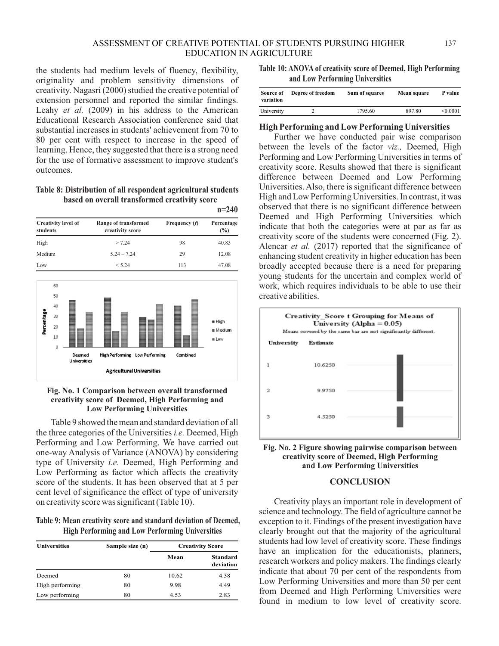the students had medium levels of fluency, flexibility, originality and problem sensitivity dimensions of creativity. Nagasri (2000) studied the creative potential of extension personnel and reported the similar findings. Leahy *et al.* (2009) in his address to the American Educational Research Association conference said that substantial increases in students' achievement from 70 to 80 per cent with respect to increase in the speed of learning. Hence, they suggested that there is a strong need for the use of formative assessment to improve student's outcomes.

### **Table 8: Distribution of all respondent agricultural students based on overall transformed creativity score**

|                                        |                                          |                 | $n=240$                      |
|----------------------------------------|------------------------------------------|-----------------|------------------------------|
| <b>Creativity level of</b><br>students | Range of transformed<br>creativity score | Frequency $(f)$ | Percentage<br>$\binom{0}{0}$ |
| High                                   | > 7.24                                   | 98              | 40.83                        |
| Medium                                 | $5.24 - 7.24$                            | 29              | 12.08                        |
| Low                                    | < 5.24                                   | 113             | 47.08                        |



### **Fig. No. 1 Comparison between overall transformed creativity score of Deemed, High Performing and Low Performing Universities**

Table 9 showed the mean and standard deviation of all the three categories of the Universities *i.e.* Deemed, High Performing and Low Performing. We have carried out one-way Analysis of Variance (ANOVA) by considering type of University *i.e.* Deemed, High Performing and Low Performing as factor which affects the creativity score of the students. It has been observed that at 5 per cent level of significance the effect of type of university on creativity score was significant (Table 10).

**Table 9: Mean creativity score and standard deviation of Deemed, High Performing and Low Performing Universities**

| <b>Universities</b> | Sample size (n) |       | <b>Creativity Score</b>      |  |
|---------------------|-----------------|-------|------------------------------|--|
|                     |                 | Mean  | <b>Standard</b><br>deviation |  |
| Deemed              | 80              | 10.62 | 4.38                         |  |
| High performing     | 80              | 9.98  | 4.49                         |  |
| Low performing      | 80              | 4.53  | 2.83                         |  |

**Table 10: ANOVA of creativity score of Deemed, High Performing and Low Performing Universities**

| Source of<br>variation | Degree of freedom | Sum of squares | Mean square | P value  |
|------------------------|-------------------|----------------|-------------|----------|
| University             |                   | 1795.60        | 897.80      | < 0.0001 |

# **High Performing and Low Performing Universities**

Further we have conducted pair wise comparison between the levels of the factor *viz.,* Deemed, High Performing and Low Performing Universities in terms of creativity score. Results showed that there is significant difference between Deemed and Low Performing Universities. Also, there is significant difference between High and Low Performing Universities. In contrast, it was observed that there is no significant difference between Deemed and High Performing Universities which indicate that both the categories were at par as far as creativity score of the students were concerned (Fig. 2). Alencar *et al.* (2017) reported that the significance of enhancing student creativity in higher education has been broadly accepted because there is a need for preparing young students for the uncertain and complex world of work, which requires individuals to be able to use their creative abilities.





# **CONCLUSION**

Creativity plays an important role in development of science and technology. The field of agriculture cannot be exception to it. Findings of the present investigation have clearly brought out that the majority of the agricultural students had low level of creativity score. These findings have an implication for the educationists, planners, research workers and policy makers. The findings clearly indicate that about 70 per cent of the respondents from Low Performing Universities and more than 50 per cent from Deemed and High Performing Universities were found in medium to low level of creativity score.